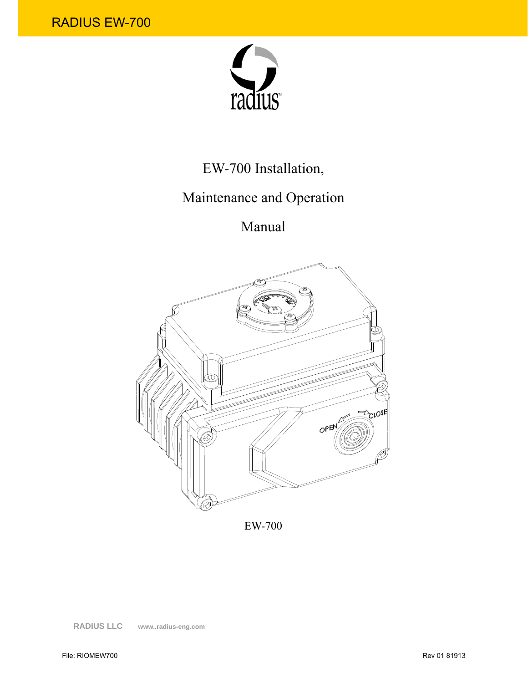

# EW-700 Installation,

# Maintenance and Operation

Manual



EW-700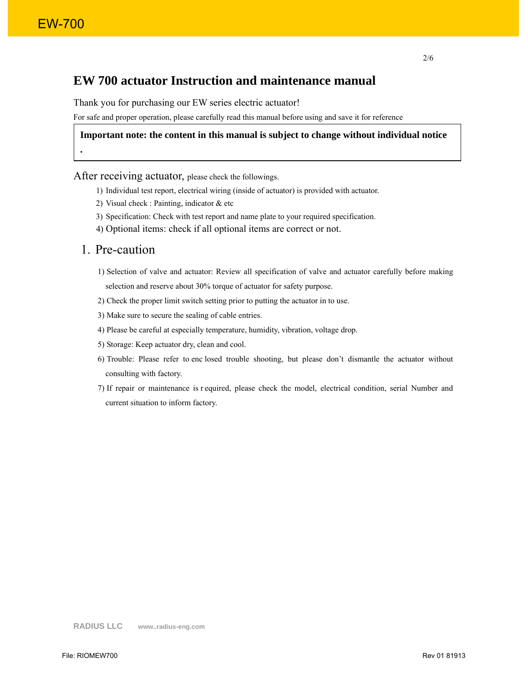**.**

### **EW 700 actuator Instruction and maintenance manual**

Thank you for purchasing our EW series electric actuator!

For safe and proper operation, please carefully read this manual before using and save it for reference

#### **Important note: the content in this manual is subject to change without individual notice**

After receiving actuator, please check the followings.

- 1) Individual test report, electrical wiring (inside of actuator) is provided with actuator.
- 2) Visual check : Painting, indicator & etc
- 3) Specification: Check with test report and name plate to your required specification.
- 4) Optional items: check if all optional items are correct or not.

### 1. Pre-caution

- 1) Selection of valve and actuator: Review all specification of valve and actuator carefully before making selection and reserve about 30% torque of actuator for safety purpose.
- 2) Check the proper limit switch setting prior to putting the actuator in to use.
- 3) Make sure to secure the sealing of cable entries.
- 4) Please be careful at especially temperature, humidity, vibration, voltage drop.
- 5) Storage: Keep actuator dry, clean and cool.
- 6) Trouble: Please refer to enc losed trouble shooting, but please don't dismantle the actuator without consulting with factory.
- 7) If repair or maintenance is r equired, please check the model, electrical condition, serial Number and current situation to inform factory.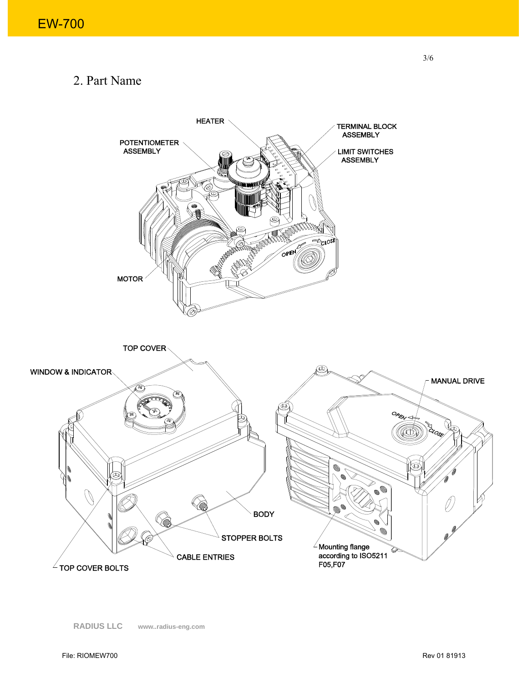# 2. Part Name

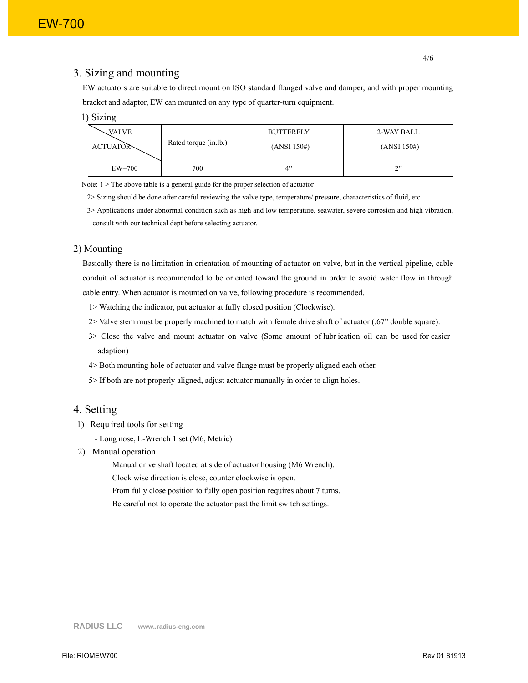#### 3. Sizing and mounting

EW actuators are suitable to direct mount on ISO standard flanged valve and damper, and with proper mounting bracket and adaptor, EW can mounted on any type of quarter-turn equipment.

| 17.IN |  |
|-------|--|
|       |  |

| VALVE           | Rated torque (in.lb.) | <b>BUTTERFLY</b> | 2-WAY BALL  |
|-----------------|-----------------------|------------------|-------------|
| <b>ACTUATOR</b> |                       | (ANSI 150#)      | (ANSI 150#) |
| $EW=700$        | 700                   |                  | $\uparrow$  |

Note: 1 > The above table is a general guide for the proper selection of actuator

2> Sizing should be done after careful reviewing the valve type, temperature/ pressure, characteristics of fluid, etc

3> Applications under abnormal condition such as high and low temperature, seawater, severe corrosion and high vibration, consult with our technical dept before selecting actuator.

#### 2) Mounting

Basically there is no limitation in orientation of mounting of actuator on valve, but in the vertical pipeline, cable conduit of actuator is recommended to be oriented toward the ground in order to avoid water flow in through cable entry. When actuator is mounted on valve, following procedure is recommended.

- 1> Watching the indicator, put actuator at fully closed position (Clockwise).
- 2> Valve stem must be properly machined to match with female drive shaft of actuator (.67" double square).
- 3> Close the valve and mount actuator on valve (Some amount of lubr ication oil can be used for easier adaption)
- 4> Both mounting hole of actuator and valve flange must be properly aligned each other.
- 5> If both are not properly aligned, adjust actuator manually in order to align holes.

#### 4. Setting

- 1) Requ ired tools for setting
	- Long nose, L-Wrench 1 set (M6, Metric)
- 2) Manual operation

Manual drive shaft located at side of actuator housing (M6 Wrench).

Clock wise direction is close, counter clockwise is open.

From fully close position to fully open position requires about 7 turns.

Be careful not to operate the actuator past the limit switch settings.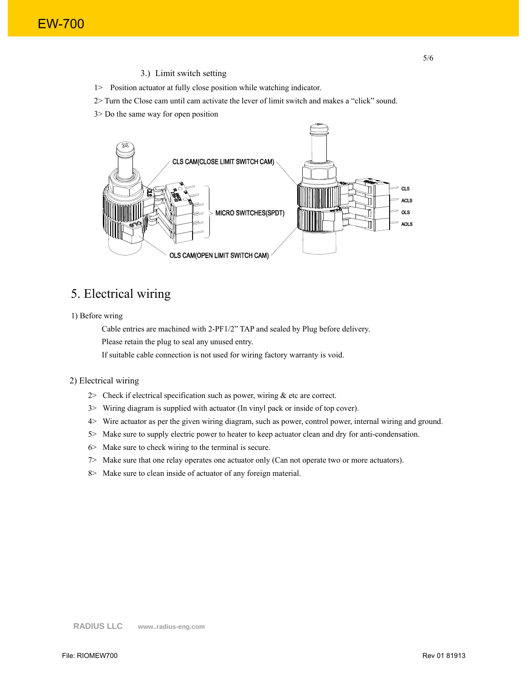3.) Limit switch setting

1> Position actuator at fully close position while watching indicator.

2> Turn the Close cam until cam activate the lever of limit switch and makes a "click" sound.

5/6

3> Do the same way for open position



## 5. Electrical wiring

#### 1) Before wring

Cable entries are machined with 2-PF1/2" TAP and sealed by Plug before delivery.

Please retain the plug to seal any unused entry.

If suitable cable connection is not used for wiring factory warranty is void.

#### 2) Electrical wiring

- 2> Check if electrical specification such as power, wiring  $&$  etc are correct.
- 3> Wiring diagram is supplied with actuator (In vinyl pack or inside of top cover).
- 4> Wire actuator as per the given wiring diagram, such as power, control power, internal wiring and ground.
- 5> Make sure to supply electric power to heater to keep actuator clean and dry for anti-condensation.
- 6> Make sure to check wiring to the terminal is secure.
- 7> Make sure that one relay operates one actuator only (Can not operate two or more actuators).
- 8> Make sure to clean inside of actuator of any foreign material.